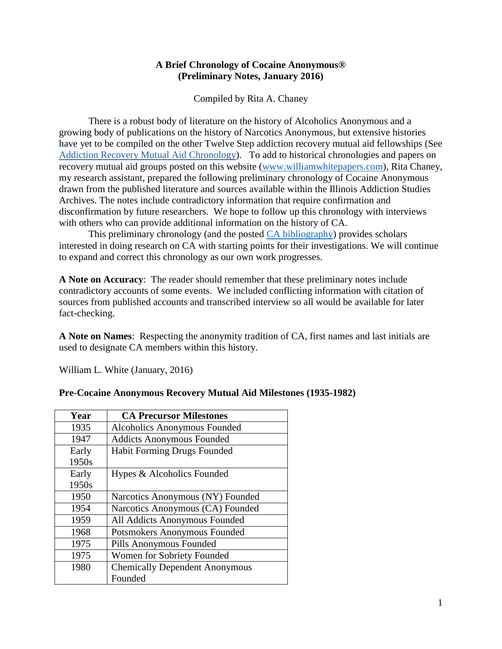#### **A Brief Chronology of Cocaine Anonymous® (Preliminary Notes, January 2016)**

Compiled by Rita A. Chaney

There is a robust body of literature on the history of Alcoholics Anonymous and a growing body of publications on the history of Narcotics Anonymous, but extensive histories have yet to be compiled on the other Twelve Step addiction recovery mutual aid fellowships (See [Addiction Recovery Mutual Aid Chronology\)](http://www.williamwhitepapers.com/pr/2013%20Addiction%20Recovery%20Mutual%20Aid%20Chronology.pdf). To add to historical chronologies and papers on recovery mutual aid groups posted on this website [\(www.williamwhitepapers.com\)](http://www.williamwhitepapers.com/), Rita Chaney, my research assistant, prepared the following preliminary chronology of Cocaine Anonymous drawn from the published literature and sources available within the Illinois Addiction Studies Archives. The notes include contradictory information that require confirmation and disconfirmation by future researchers. We hope to follow up this chronology with interviews with others who can provide additional information on the history of CA.

This preliminary chronology (and the posted CA [bibliography\)](http://www.williamwhitepapers.com/pr/Cocaine%20Anonymous%20Professional%20Bibliography.pdf) provides scholars interested in doing research on CA with starting points for their investigations. We will continue to expand and correct this chronology as our own work progresses.

**A Note on Accuracy**: The reader should remember that these preliminary notes include contradictory accounts of some events. We included conflicting information with citation of sources from published accounts and transcribed interview so all would be available for later fact-checking.

**A Note on Names**: Respecting the anonymity tradition of CA, first names and last initials are used to designate CA members within this history.

William L. White (January, 2016)

| Year  | <b>CA Precursor Milestones</b>        |
|-------|---------------------------------------|
| 1935  | Alcoholics Anonymous Founded          |
| 1947  | <b>Addicts Anonymous Founded</b>      |
| Early | <b>Habit Forming Drugs Founded</b>    |
| 1950s |                                       |
| Early | Hypes & Alcoholics Founded            |
| 1950s |                                       |
| 1950  | Narcotics Anonymous (NY) Founded      |
| 1954  | Narcotics Anonymous (CA) Founded      |
| 1959  | All Addicts Anonymous Founded         |
| 1968  | Potsmokers Anonymous Founded          |
| 1975  | Pills Anonymous Founded               |
| 1975  | Women for Sobriety Founded            |
| 1980  | <b>Chemically Dependent Anonymous</b> |
|       | Founded                               |

#### **Pre-Cocaine Anonymous Recovery Mutual Aid Milestones (1935-1982)**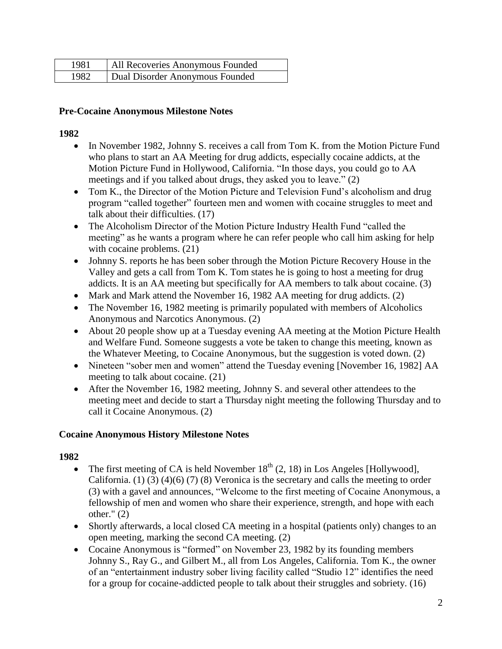| 1981 | All Recoveries Anonymous Founded |
|------|----------------------------------|
| 1982 | Dual Disorder Anonymous Founded  |

### **Pre-Cocaine Anonymous Milestone Notes**

#### **1982**

- In November 1982, Johnny S. receives a call from Tom K. from the Motion Picture Fund who plans to start an AA Meeting for drug addicts, especially cocaine addicts, at the Motion Picture Fund in Hollywood, California. "In those days, you could go to AA meetings and if you talked about drugs, they asked you to leave." (2)
- Tom K., the Director of the Motion Picture and Television Fund's alcoholism and drug program "called together" fourteen men and women with cocaine struggles to meet and talk about their difficulties. (17)
- The Alcoholism Director of the Motion Picture Industry Health Fund "called the meeting" as he wants a program where he can refer people who call him asking for help with cocaine problems.  $(21)$
- Johnny S. reports he has been sober through the Motion Picture Recovery House in the Valley and gets a call from Tom K. Tom states he is going to host a meeting for drug addicts. It is an AA meeting but specifically for AA members to talk about cocaine. (3)
- Mark and Mark attend the November 16, 1982 AA meeting for drug addicts. (2)
- The November 16, 1982 meeting is primarily populated with members of Alcoholics Anonymous and Narcotics Anonymous. (2)
- About 20 people show up at a Tuesday evening AA meeting at the Motion Picture Health and Welfare Fund. Someone suggests a vote be taken to change this meeting, known as the Whatever Meeting, to Cocaine Anonymous, but the suggestion is voted down. (2)
- Nineteen "sober men and women" attend the Tuesday evening [November 16, 1982] AA meeting to talk about cocaine. (21)
- After the November 16, 1982 meeting, Johnny S. and several other attendees to the meeting meet and decide to start a Thursday night meeting the following Thursday and to call it Cocaine Anonymous. (2)

### **Cocaine Anonymous History Milestone Notes**

- The first meeting of CA is held November  $18<sup>th</sup>$  (2, 18) in Los Angeles [Hollywood], California. (1) (3) (4)(6) (7) (8) Veronica is the secretary and calls the meeting to order (3) with a gavel and announces, "Welcome to the first meeting of Cocaine Anonymous, a fellowship of men and women who share their experience, strength, and hope with each other." (2)
- Shortly afterwards, a local closed CA meeting in a hospital (patients only) changes to an open meeting, marking the second CA meeting. (2)
- Cocaine Anonymous is "formed" on November 23, 1982 by its founding members Johnny S., Ray G., and Gilbert M., all from Los Angeles, California. Tom K., the owner of an "entertainment industry sober living facility called "Studio 12" identifies the need for a group for cocaine-addicted people to talk about their struggles and sobriety. (16)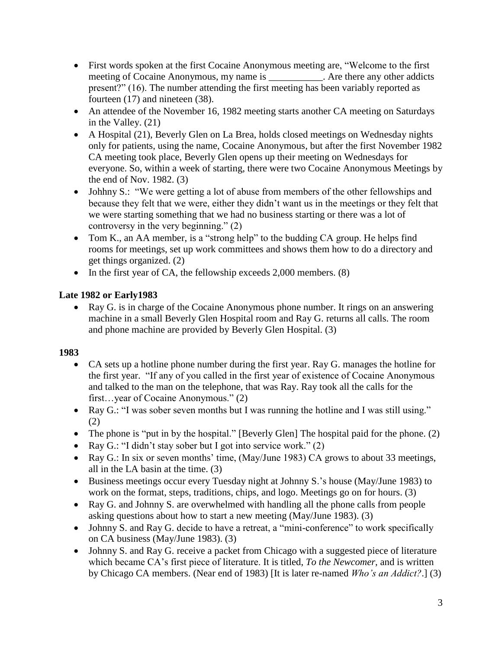- First words spoken at the first Cocaine Anonymous meeting are, "Welcome to the first meeting of Cocaine Anonymous, my name is . Are there any other addicts present?" (16). The number attending the first meeting has been variably reported as fourteen (17) and nineteen (38).
- An attendee of the November 16, 1982 meeting starts another CA meeting on Saturdays in the Valley. (21)
- A Hospital (21), Beverly Glen on La Brea, holds closed meetings on Wednesday nights only for patients, using the name, Cocaine Anonymous, but after the first November 1982 CA meeting took place, Beverly Glen opens up their meeting on Wednesdays for everyone. So, within a week of starting, there were two Cocaine Anonymous Meetings by the end of Nov. 1982. (3)
- Johhny S.: "We were getting a lot of abuse from members of the other fellowships and because they felt that we were, either they didn't want us in the meetings or they felt that we were starting something that we had no business starting or there was a lot of controversy in the very beginning." (2)
- Tom K., an AA member, is a "strong help" to the budding CA group. He helps find rooms for meetings, set up work committees and shows them how to do a directory and get things organized. (2)
- In the first year of CA, the fellowship exceeds 2,000 members. (8)

### **Late 1982 or Early1983**

 Ray G. is in charge of the Cocaine Anonymous phone number. It rings on an answering machine in a small Beverly Glen Hospital room and Ray G. returns all calls. The room and phone machine are provided by Beverly Glen Hospital. (3)

- CA sets up a hotline phone number during the first year. Ray G. manages the hotline for the first year. "If any of you called in the first year of existence of Cocaine Anonymous and talked to the man on the telephone, that was Ray. Ray took all the calls for the first…year of Cocaine Anonymous." (2)
- Ray G.: "I was sober seven months but I was running the hotline and I was still using." (2)
- The phone is "put in by the hospital." [Beverly Glen] The hospital paid for the phone. (2)
- Ray G.: "I didn't stay sober but I got into service work."  $(2)$
- Ray G.: In six or seven months' time, (May/June 1983) CA grows to about 33 meetings, all in the LA basin at the time. (3)
- Business meetings occur every Tuesday night at Johnny S.'s house (May/June 1983) to work on the format, steps, traditions, chips, and logo. Meetings go on for hours. (3)
- Ray G. and Johnny S. are overwhelmed with handling all the phone calls from people asking questions about how to start a new meeting (May/June 1983). (3)
- Johnny S. and Ray G. decide to have a retreat, a "mini-conference" to work specifically on CA business (May/June 1983). (3)
- Johnny S. and Ray G. receive a packet from Chicago with a suggested piece of literature which became CA's first piece of literature. It is titled, *To the Newcomer*, and is written by Chicago CA members. (Near end of 1983) [It is later re-named *Who's an Addict?*.] (3)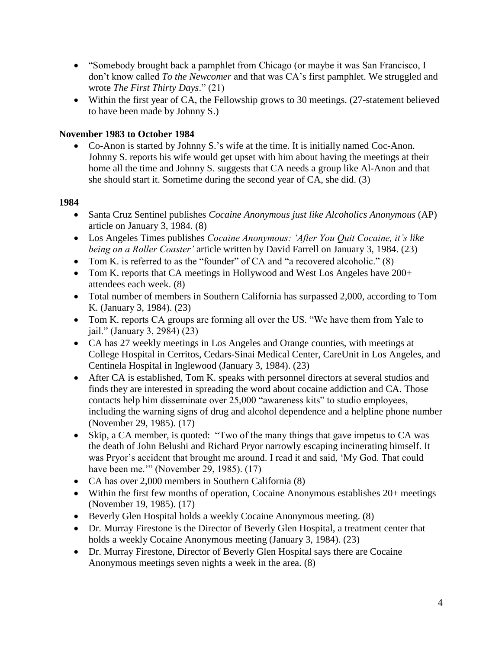- "Somebody brought back a pamphlet from Chicago (or maybe it was San Francisco, I don't know called *To the Newcomer* and that was CA's first pamphlet. We struggled and wrote *The First Thirty Days*." (21)
- Within the first year of CA, the Fellowship grows to 30 meetings. (27-statement believed to have been made by Johnny S.)

### **November 1983 to October 1984**

 Co-Anon is started by Johnny S.'s wife at the time. It is initially named Coc-Anon. Johnny S. reports his wife would get upset with him about having the meetings at their home all the time and Johnny S. suggests that CA needs a group like Al-Anon and that she should start it. Sometime during the second year of CA, she did. (3)

- Santa Cruz Sentinel publishes *Cocaine Anonymous just like Alcoholics Anonymous* (AP) article on January 3, 1984. (8)
- Los Angeles Times publishes *Cocaine Anonymous: 'After You Quit Cocaine, it's like being on a Roller Coaster'* article written by David Farrell on January 3, 1984. (23)
- Tom K, is referred to as the "founder" of CA and "a recovered alcoholic." (8)
- Tom K. reports that CA meetings in Hollywood and West Los Angeles have  $200+$ attendees each week. (8)
- Total number of members in Southern California has surpassed 2,000, according to Tom K. (January 3, 1984). (23)
- Tom K. reports CA groups are forming all over the US. "We have them from Yale to jail." (January 3, 2984) (23)
- CA has 27 weekly meetings in Los Angeles and Orange counties, with meetings at College Hospital in Cerritos, Cedars-Sinai Medical Center, CareUnit in Los Angeles, and Centinela Hospital in Inglewood (January 3, 1984). (23)
- After CA is established, Tom K. speaks with personnel directors at several studios and finds they are interested in spreading the word about cocaine addiction and CA. Those contacts help him disseminate over 25,000 "awareness kits" to studio employees, including the warning signs of drug and alcohol dependence and a helpline phone number (November 29, 1985). (17)
- Skip, a CA member, is quoted: "Two of the many things that gave impetus to CA was the death of John Belushi and Richard Pryor narrowly escaping incinerating himself. It was Pryor's accident that brought me around. I read it and said, 'My God. That could have been me.'" (November 29, 1985). (17)
- CA has over 2,000 members in Southern California (8)
- Within the first few months of operation, Cocaine Anonymous establishes 20+ meetings (November 19, 1985). (17)
- Beverly Glen Hospital holds a weekly Cocaine Anonymous meeting. (8)
- Dr. Murray Firestone is the Director of Beverly Glen Hospital, a treatment center that holds a weekly Cocaine Anonymous meeting (January 3, 1984). (23)
- Dr. Murray Firestone, Director of Beverly Glen Hospital says there are Cocaine Anonymous meetings seven nights a week in the area. (8)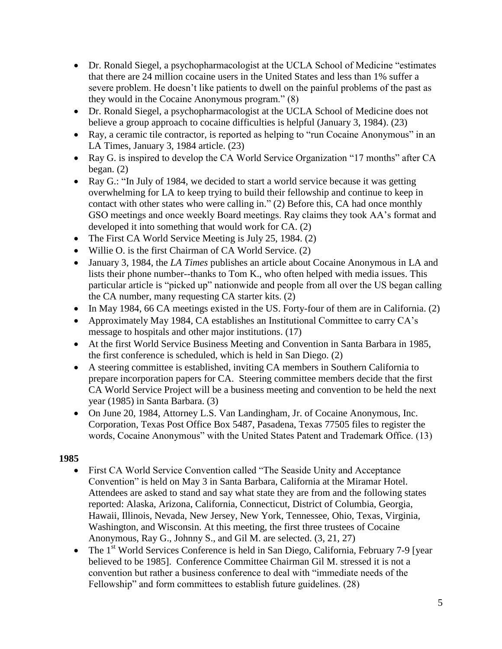- Dr. Ronald Siegel, a psychopharmacologist at the UCLA School of Medicine "estimates that there are 24 million cocaine users in the United States and less than 1% suffer a severe problem. He doesn't like patients to dwell on the painful problems of the past as they would in the Cocaine Anonymous program." (8)
- Dr. Ronald Siegel, a psychopharmacologist at the UCLA School of Medicine does not believe a group approach to cocaine difficulties is helpful (January 3, 1984). (23)
- Ray, a ceramic tile contractor, is reported as helping to "run Cocaine Anonymous" in an LA Times, January 3, 1984 article. (23)
- Ray G. is inspired to develop the CA World Service Organization "17 months" after CA began. (2)
- Ray G.: "In July of 1984, we decided to start a world service because it was getting overwhelming for LA to keep trying to build their fellowship and continue to keep in contact with other states who were calling in." (2) Before this, CA had once monthly GSO meetings and once weekly Board meetings. Ray claims they took AA's format and developed it into something that would work for CA. (2)
- The First CA World Service Meeting is July 25, 1984. (2)
- Willie O. is the first Chairman of CA World Service. (2)
- January 3, 1984, the *LA Times* publishes an article about Cocaine Anonymous in LA and lists their phone number--thanks to Tom K., who often helped with media issues. This particular article is "picked up" nationwide and people from all over the US began calling the CA number, many requesting CA starter kits. (2)
- In May 1984, 66 CA meetings existed in the US. Forty-four of them are in California. (2)
- Approximately May 1984, CA establishes an Institutional Committee to carry CA's message to hospitals and other major institutions. (17)
- At the first World Service Business Meeting and Convention in Santa Barbara in 1985, the first conference is scheduled, which is held in San Diego. (2)
- A steering committee is established, inviting CA members in Southern California to prepare incorporation papers for CA. Steering committee members decide that the first CA World Service Project will be a business meeting and convention to be held the next year (1985) in Santa Barbara. (3)
- On June 20, 1984, Attorney L.S. Van Landingham, Jr. of Cocaine Anonymous, Inc. Corporation, Texas Post Office Box 5487, Pasadena, Texas 77505 files to register the words, Cocaine Anonymous" with the United States Patent and Trademark Office. (13)

- First CA World Service Convention called "The Seaside Unity and Acceptance Convention" is held on May 3 in Santa Barbara, California at the Miramar Hotel. Attendees are asked to stand and say what state they are from and the following states reported: Alaska, Arizona, California, Connecticut, District of Columbia, Georgia, Hawaii, Illinois, Nevada, New Jersey, New York, Tennessee, Ohio, Texas, Virginia, Washington, and Wisconsin. At this meeting, the first three trustees of Cocaine Anonymous, Ray G., Johnny S., and Gil M. are selected. (3, 21, 27)
- The 1<sup>st</sup> World Services Conference is held in San Diego, California, February 7-9 [year] believed to be 1985]. Conference Committee Chairman Gil M. stressed it is not a convention but rather a business conference to deal with "immediate needs of the Fellowship" and form committees to establish future guidelines. (28)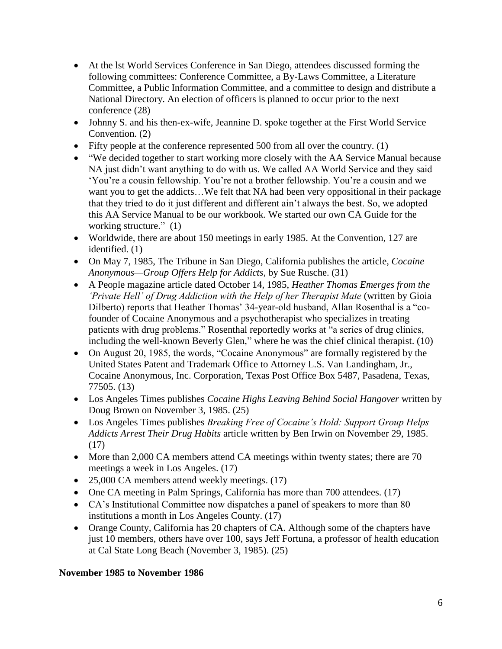- At the lst World Services Conference in San Diego, attendees discussed forming the following committees: Conference Committee, a By-Laws Committee, a Literature Committee, a Public Information Committee, and a committee to design and distribute a National Directory. An election of officers is planned to occur prior to the next conference (28)
- Johnny S. and his then-ex-wife, Jeannine D. spoke together at the First World Service Convention. (2)
- Fifty people at the conference represented 500 from all over the country. (1)
- "We decided together to start working more closely with the AA Service Manual because NA just didn't want anything to do with us. We called AA World Service and they said 'You're a cousin fellowship. You're not a brother fellowship. You're a cousin and we want you to get the addicts...We felt that NA had been very oppositional in their package that they tried to do it just different and different ain't always the best. So, we adopted this AA Service Manual to be our workbook. We started our own CA Guide for the working structure." (1)
- Worldwide, there are about 150 meetings in early 1985. At the Convention, 127 are identified. (1)
- On May 7, 1985, The Tribune in San Diego, California publishes the article, *Cocaine Anonymous—Group Offers Help for Addicts*, by Sue Rusche. (31)
- A People magazine article dated October 14, 1985, *Heather Thomas Emerges from the 'Private Hell' of Drug Addiction with the Help of her Therapist Mate* (written by Gioia Dilberto) reports that Heather Thomas' 34-year-old husband, Allan Rosenthal is a "cofounder of Cocaine Anonymous and a psychotherapist who specializes in treating patients with drug problems." Rosenthal reportedly works at "a series of drug clinics, including the well-known Beverly Glen," where he was the chief clinical therapist. (10)
- On August 20, 1985, the words, "Cocaine Anonymous" are formally registered by the United States Patent and Trademark Office to Attorney L.S. Van Landingham, Jr., Cocaine Anonymous, Inc. Corporation, Texas Post Office Box 5487, Pasadena, Texas, 77505. (13)
- Los Angeles Times publishes *Cocaine Highs Leaving Behind Social Hangover* written by Doug Brown on November 3, 1985. (25)
- Los Angeles Times publishes *Breaking Free of Cocaine's Hold: Support Group Helps Addicts Arrest Their Drug Habits* article written by Ben Irwin on November 29, 1985. (17)
- More than 2,000 CA members attend CA meetings within twenty states; there are 70 meetings a week in Los Angeles. (17)
- 25,000 CA members attend weekly meetings. (17)
- One CA meeting in Palm Springs, California has more than 700 attendees. (17)
- CA's Institutional Committee now dispatches a panel of speakers to more than 80 institutions a month in Los Angeles County. (17)
- Orange County, California has 20 chapters of CA. Although some of the chapters have just 10 members, others have over 100, says Jeff Fortuna, a professor of health education at Cal State Long Beach (November 3, 1985). (25)

### **November 1985 to November 1986**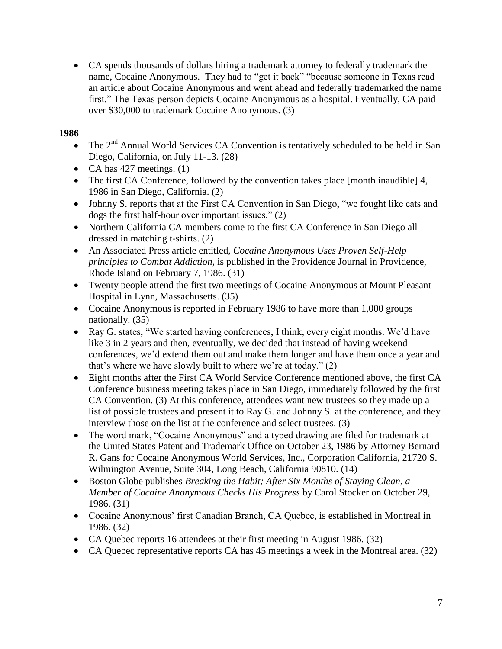CA spends thousands of dollars hiring a trademark attorney to federally trademark the name, Cocaine Anonymous. They had to "get it back" "because someone in Texas read an article about Cocaine Anonymous and went ahead and federally trademarked the name first." The Texas person depicts Cocaine Anonymous as a hospital. Eventually, CA paid over \$30,000 to trademark Cocaine Anonymous. (3)

- $\bullet$  The  $2^{nd}$  Annual World Services CA Convention is tentatively scheduled to be held in San Diego, California, on July 11-13. (28)
- CA has  $427$  meetings. (1)
- The first CA Conference, followed by the convention takes place [month inaudible] 4, 1986 in San Diego, California. (2)
- Johnny S. reports that at the First CA Convention in San Diego, "we fought like cats and dogs the first half-hour over important issues." (2)
- Northern California CA members come to the first CA Conference in San Diego all dressed in matching t-shirts. (2)
- An Associated Press article entitled, *Cocaine Anonymous Uses Proven Self-Help principles to Combat Addiction*, is published in the Providence Journal in Providence, Rhode Island on February 7, 1986. (31)
- Twenty people attend the first two meetings of Cocaine Anonymous at Mount Pleasant Hospital in Lynn, Massachusetts. (35)
- Cocaine Anonymous is reported in February 1986 to have more than 1,000 groups nationally. (35)
- Ray G. states, "We started having conferences, I think, every eight months. We'd have like 3 in 2 years and then, eventually, we decided that instead of having weekend conferences, we'd extend them out and make them longer and have them once a year and that's where we have slowly built to where we're at today." (2)
- Eight months after the First CA World Service Conference mentioned above, the first CA Conference business meeting takes place in San Diego, immediately followed by the first CA Convention. (3) At this conference, attendees want new trustees so they made up a list of possible trustees and present it to Ray G. and Johnny S. at the conference, and they interview those on the list at the conference and select trustees. (3)
- The word mark, "Cocaine Anonymous" and a typed drawing are filed for trademark at the United States Patent and Trademark Office on October 23, 1986 by Attorney Bernard R. Gans for Cocaine Anonymous World Services, Inc., Corporation California, 21720 S. Wilmington Avenue, Suite 304, Long Beach, California 90810. (14)
- Boston Globe publishes *Breaking the Habit; After Six Months of Staying Clean, a Member of Cocaine Anonymous Checks His Progress* by Carol Stocker on October 29, 1986. (31)
- Cocaine Anonymous' first Canadian Branch, CA Quebec, is established in Montreal in 1986. (32)
- CA Quebec reports 16 attendees at their first meeting in August 1986. (32)
- CA Quebec representative reports CA has 45 meetings a week in the Montreal area. (32)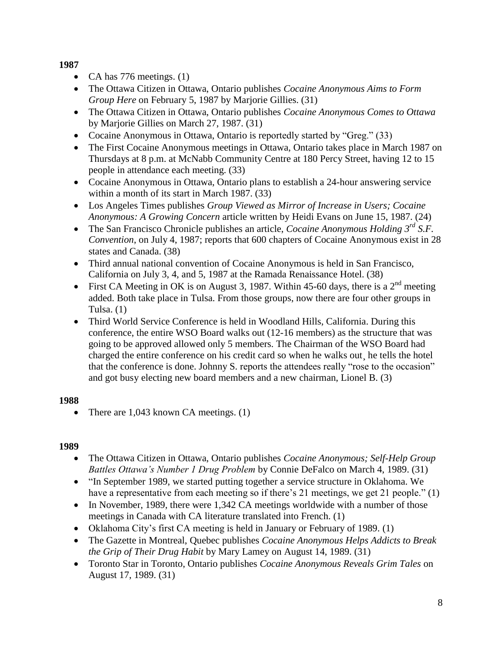- CA has  $776$  meetings. (1)
- The Ottawa Citizen in Ottawa, Ontario publishes *Cocaine Anonymous Aims to Form Group Here* on February 5, 1987 by Marjorie Gillies. (31)
- The Ottawa Citizen in Ottawa, Ontario publishes *Cocaine Anonymous Comes to Ottawa* by Marjorie Gillies on March 27, 1987. (31)
- Cocaine Anonymous in Ottawa, Ontario is reportedly started by "Greg." (33)
- The First Cocaine Anonymous meetings in Ottawa, Ontario takes place in March 1987 on Thursdays at 8 p.m. at McNabb Community Centre at 180 Percy Street, having 12 to 15 people in attendance each meeting. (33)
- Cocaine Anonymous in Ottawa, Ontario plans to establish a 24-hour answering service within a month of its start in March 1987. (33)
- Los Angeles Times publishes *Group Viewed as Mirror of Increase in Users; Cocaine Anonymous: A Growing Concern* article written by Heidi Evans on June 15, 1987. (24)
- The San Francisco Chronicle publishes an article, *Cocaine Anonymous Holding 3rd S.F. Convention*, on July 4, 1987; reports that 600 chapters of Cocaine Anonymous exist in 28 states and Canada. (38)
- Third annual national convention of Cocaine Anonymous is held in San Francisco, California on July 3, 4, and 5, 1987 at the Ramada Renaissance Hotel. (38)
- First CA Meeting in OK is on August 3, 1987. Within 45-60 days, there is a  $2<sup>nd</sup>$  meeting added. Both take place in Tulsa. From those groups, now there are four other groups in Tulsa. (1)
- Third World Service Conference is held in Woodland Hills, California. During this conference, the entire WSO Board walks out (12-16 members) as the structure that was going to be approved allowed only 5 members. The Chairman of the WSO Board had charged the entire conference on his credit card so when he walks out¸ he tells the hotel that the conference is done. Johnny S. reports the attendees really "rose to the occasion" and got busy electing new board members and a new chairman, Lionel B. (3)

# **1988**

• There are  $1,043$  known CA meetings.  $(1)$ 

- The Ottawa Citizen in Ottawa, Ontario publishes *Cocaine Anonymous; Self-Help Group Battles Ottawa's Number 1 Drug Problem* by Connie DeFalco on March 4, 1989. (31)
- "In September 1989, we started putting together a service structure in Oklahoma. We have a representative from each meeting so if there's 21 meetings, we get 21 people." (1)
- In November, 1989, there were 1,342 CA meetings worldwide with a number of those meetings in Canada with CA literature translated into French. (1)
- Oklahoma City's first CA meeting is held in January or February of 1989. (1)
- The Gazette in Montreal, Quebec publishes *Cocaine Anonymous Helps Addicts to Break the Grip of Their Drug Habit* by Mary Lamey on August 14, 1989. (31)
- Toronto Star in Toronto, Ontario publishes *Cocaine Anonymous Reveals Grim Tales* on August 17, 1989. (31)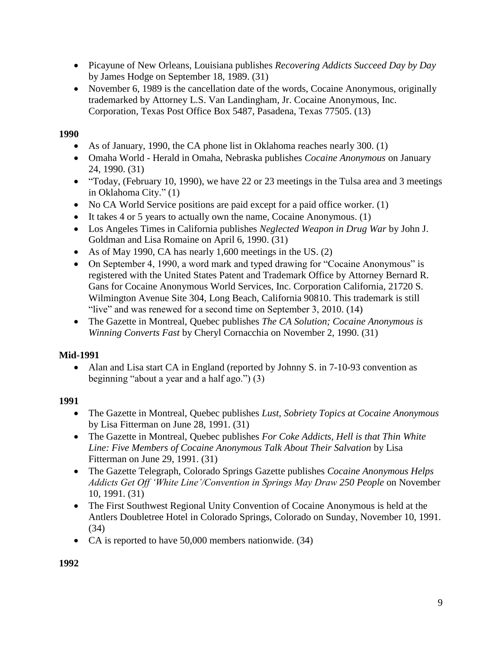- Picayune of New Orleans, Louisiana publishes *Recovering Addicts Succeed Day by Day* by James Hodge on September 18, 1989. (31)
- November 6, 1989 is the cancellation date of the words, Cocaine Anonymous, originally trademarked by Attorney L.S. Van Landingham, Jr. Cocaine Anonymous, Inc. Corporation, Texas Post Office Box 5487, Pasadena, Texas 77505. (13)

- As of January, 1990, the CA phone list in Oklahoma reaches nearly 300. (1)
- Omaha World Herald in Omaha, Nebraska publishes *Cocaine Anonymous* on January 24, 1990. (31)
- "Today, (February 10, 1990), we have 22 or 23 meetings in the Tulsa area and 3 meetings in Oklahoma City." (1)
- No CA World Service positions are paid except for a paid office worker. (1)
- It takes 4 or 5 years to actually own the name, Cocaine Anonymous. (1)
- Los Angeles Times in California publishes *Neglected Weapon in Drug War* by John J. Goldman and Lisa Romaine on April 6, 1990. (31)
- As of May 1990, CA has nearly 1,600 meetings in the US.  $(2)$
- On September 4, 1990, a word mark and typed drawing for "Cocaine Anonymous" is registered with the United States Patent and Trademark Office by Attorney Bernard R. Gans for Cocaine Anonymous World Services, Inc. Corporation California, 21720 S. Wilmington Avenue Site 304, Long Beach, California 90810. This trademark is still "live" and was renewed for a second time on September 3, 2010. (14)
- The Gazette in Montreal, Quebec publishes *The CA Solution; Cocaine Anonymous is Winning Converts Fast* by Cheryl Cornacchia on November 2, 1990. (31)

# **Mid-1991**

• Alan and Lisa start CA in England (reported by Johnny S. in 7-10-93 convention as beginning "about a year and a half ago.") (3)

- The Gazette in Montreal, Quebec publishes *Lust, Sobriety Topics at Cocaine Anonymous* by Lisa Fitterman on June 28, 1991. (31)
- The Gazette in Montreal, Quebec publishes *For Coke Addicts, Hell is that Thin White Line: Five Members of Cocaine Anonymous Talk About Their Salvation* by Lisa Fitterman on June 29, 1991. (31)
- The Gazette Telegraph, Colorado Springs Gazette publishes *Cocaine Anonymous Helps Addicts Get Off 'White Line'/Convention in Springs May Draw 250 People* on November 10, 1991. (31)
- The First Southwest Regional Unity Convention of Cocaine Anonymous is held at the Antlers Doubletree Hotel in Colorado Springs, Colorado on Sunday, November 10, 1991. (34)
- CA is reported to have 50,000 members nationwide. (34)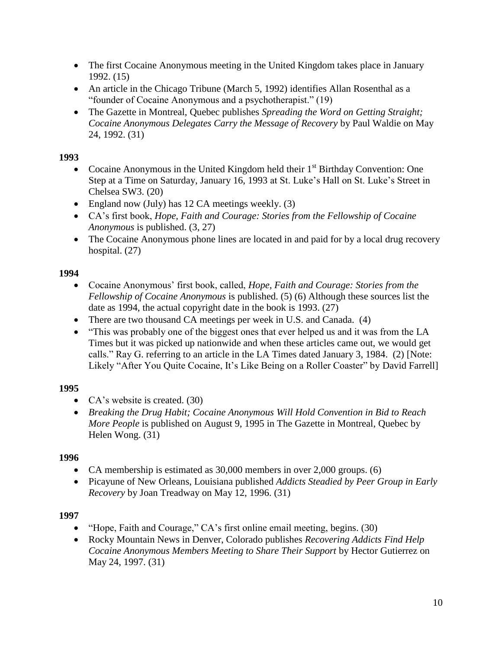- The first Cocaine Anonymous meeting in the United Kingdom takes place in January 1992. (15)
- An article in the Chicago Tribune (March 5, 1992) identifies Allan Rosenthal as a "founder of Cocaine Anonymous and a psychotherapist." (19)
- The Gazette in Montreal, Quebec publishes *Spreading the Word on Getting Straight; Cocaine Anonymous Delegates Carry the Message of Recovery* by Paul Waldie on May 24, 1992. (31)

- Cocaine Anonymous in the United Kingdom held their  $1<sup>st</sup>$  Birthday Convention: One Step at a Time on Saturday, January 16, 1993 at St. Luke's Hall on St. Luke's Street in Chelsea SW3. (20)
- England now (July) has 12 CA meetings weekly.  $(3)$
- CA's first book, *Hope, Faith and Courage: Stories from the Fellowship of Cocaine Anonymous* is published. (3, 27)
- The Cocaine Anonymous phone lines are located in and paid for by a local drug recovery hospital. (27)

### **1994**

- Cocaine Anonymous' first book, called, *Hope, Faith and Courage: Stories from the Fellowship of Cocaine Anonymous* is published. (5) (6) Although these sources list the date as 1994, the actual copyright date in the book is 1993. (27)
- There are two thousand CA meetings per week in U.S. and Canada. (4)
- "This was probably one of the biggest ones that ever helped us and it was from the LA Times but it was picked up nationwide and when these articles came out, we would get calls." Ray G. referring to an article in the LA Times dated January 3, 1984. (2) [Note: Likely "After You Quite Cocaine, It's Like Being on a Roller Coaster" by David Farrell]

### **1995**

- CA's website is created. (30)
- *Breaking the Drug Habit; Cocaine Anonymous Will Hold Convention in Bid to Reach More People* is published on August 9, 1995 in The Gazette in Montreal, Quebec by Helen Wong. (31)

### **1996**

- CA membership is estimated as 30,000 members in over 2,000 groups. (6)
- Picayune of New Orleans, Louisiana published *Addicts Steadied by Peer Group in Early Recovery* by Joan Treadway on May 12, 1996. (31)

- "Hope, Faith and Courage," CA's first online email meeting, begins. (30)
- Rocky Mountain News in Denver, Colorado publishes *Recovering Addicts Find Help Cocaine Anonymous Members Meeting to Share Their Support* by Hector Gutierrez on May 24, 1997. (31)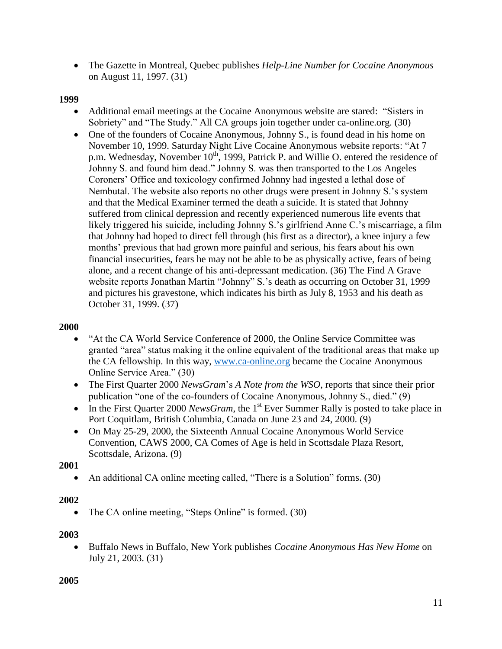The Gazette in Montreal, Quebec publishes *Help-Line Number for Cocaine Anonymous* on August 11, 1997. (31)

### **1999**

- Additional email meetings at the Cocaine Anonymous website are stared: "Sisters in Sobriety" and "The Study." All CA groups join together under ca-online.org. (30)
- One of the founders of Cocaine Anonymous, Johnny S., is found dead in his home on November 10, 1999. Saturday Night Live Cocaine Anonymous website reports: "At 7 p.m. Wednesday, November  $10^{th}$ , 1999, Patrick P. and Willie O. entered the residence of Johnny S. and found him dead." Johnny S. was then transported to the Los Angeles Coroners' Office and toxicology confirmed Johnny had ingested a lethal dose of Nembutal. The website also reports no other drugs were present in Johnny S.'s system and that the Medical Examiner termed the death a suicide. It is stated that Johnny suffered from clinical depression and recently experienced numerous life events that likely triggered his suicide, including Johnny S.'s girlfriend Anne C.'s miscarriage, a film that Johnny had hoped to direct fell through (his first as a director), a knee injury a few months' previous that had grown more painful and serious, his fears about his own financial insecurities, fears he may not be able to be as physically active, fears of being alone, and a recent change of his anti-depressant medication. (36) The Find A Grave website reports Jonathan Martin "Johnny" S.'s death as occurring on October 31, 1999 and pictures his gravestone, which indicates his birth as July 8, 1953 and his death as October 31, 1999. (37)

#### **2000**

- "At the CA World Service Conference of 2000, the Online Service Committee was granted "area" status making it the online equivalent of the traditional areas that make up the CA fellowship. In this way, [www.ca-online.org](http://www.ca-online.org/) became the Cocaine Anonymous Online Service Area." (30)
- The First Quarter 2000 *NewsGram*'s *A Note from the WSO*, reports that since their prior publication "one of the co-founders of Cocaine Anonymous, Johnny S., died." (9)
- In the First Quarter 2000 *NewsGram*, the 1<sup>st</sup> Ever Summer Rally is posted to take place in Port Coquitlam, British Columbia, Canada on June 23 and 24, 2000. (9)
- On May 25-29, 2000, the Sixteenth Annual Cocaine Anonymous World Service Convention, CAWS 2000, CA Comes of Age is held in Scottsdale Plaza Resort, Scottsdale, Arizona. (9)

**2001**

• An additional CA online meeting called, "There is a Solution" forms. (30)

### **2002**

• The CA online meeting, "Steps Online" is formed. (30)

### **2003**

 Buffalo News in Buffalo, New York publishes *Cocaine Anonymous Has New Home* on July 21, 2003. (31)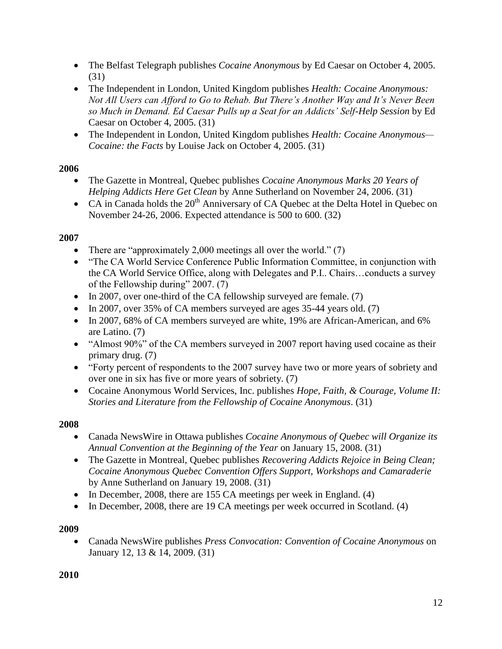- The Belfast Telegraph publishes *Cocaine Anonymous* by Ed Caesar on October 4, 2005. (31)
- The Independent in London, United Kingdom publishes *Health: Cocaine Anonymous: Not All Users can Afford to Go to Rehab. But There's Another Way and It's Never Been so Much in Demand. Ed Caesar Pulls up a Seat for an Addicts' Self-Help Session* by Ed Caesar on October 4, 2005. (31)
- The Independent in London, United Kingdom publishes *Health: Cocaine Anonymous— Cocaine: the Facts* by Louise Jack on October 4, 2005. (31)

- The Gazette in Montreal, Quebec publishes *Cocaine Anonymous Marks 20 Years of Helping Addicts Here Get Clean* by Anne Sutherland on November 24, 2006. (31)
- CA in Canada holds the  $20<sup>th</sup>$  Anniversary of CA Quebec at the Delta Hotel in Quebec on November 24-26, 2006. Expected attendance is 500 to 600. (32)

# **2007**

- There are "approximately 2,000 meetings all over the world."  $(7)$
- "The CA World Service Conference Public Information Committee, in conjunction with the CA World Service Office, along with Delegates and P.I.. Chairs…conducts a survey of the Fellowship during" 2007. (7)
- In 2007, over one-third of the CA fellowship surveyed are female. (7)
- In 2007, over 35% of CA members surveyed are ages  $35-44$  years old. (7)
- In 2007, 68% of CA members surveyed are white, 19% are African-American, and 6% are Latino. (7)
- "Almost 90%" of the CA members surveyed in 2007 report having used cocaine as their primary drug. (7)
- "Forty percent of respondents to the 2007 survey have two or more years of sobriety and over one in six has five or more years of sobriety. (7)
- Cocaine Anonymous World Services, Inc. publishes *Hope, Faith, & Courage, Volume II: Stories and Literature from the Fellowship of Cocaine Anonymous*. (31)

### **2008**

- Canada NewsWire in Ottawa publishes *Cocaine Anonymous of Quebec will Organize its Annual Convention at the Beginning of the Year* on January 15, 2008. (31)
- The Gazette in Montreal, Quebec publishes *Recovering Addicts Rejoice in Being Clean; Cocaine Anonymous Quebec Convention Offers Support, Workshops and Camaraderie* by Anne Sutherland on January 19, 2008. (31)
- In December, 2008, there are 155 CA meetings per week in England. (4)
- In December, 2008, there are 19 CA meetings per week occurred in Scotland. (4)

# **2009**

 Canada NewsWire publishes *Press Convocation: Convention of Cocaine Anonymous* on January 12, 13 & 14, 2009. (31)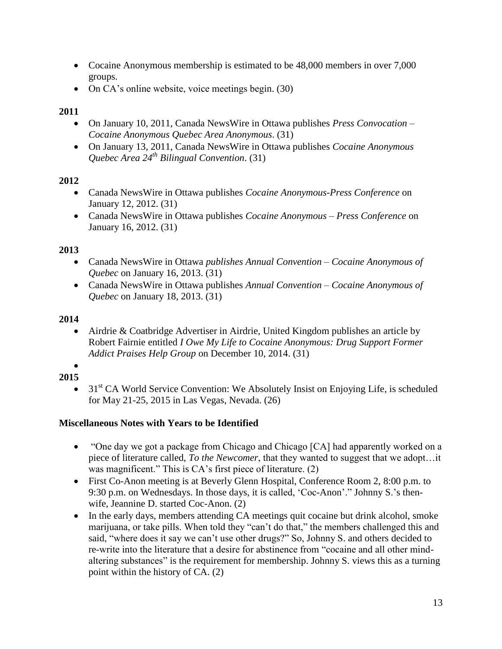- Cocaine Anonymous membership is estimated to be 48,000 members in over 7,000 groups.
- On CA's online website, voice meetings begin. (30)

- On January 10, 2011, Canada NewsWire in Ottawa publishes *Press Convocation – Cocaine Anonymous Quebec Area Anonymous*. (31)
- On January 13, 2011, Canada NewsWire in Ottawa publishes *Cocaine Anonymous Quebec Area 24th Bilingual Convention*. (31)

# **2012**

- Canada NewsWire in Ottawa publishes *Cocaine Anonymous-Press Conference* on January 12, 2012. (31)
- Canada NewsWire in Ottawa publishes *Cocaine Anonymous – Press Conference* on January 16, 2012. (31)

# **2013**

- Canada NewsWire in Ottawa *publishes Annual Convention – Cocaine Anonymous of Quebec* on January 16, 2013. (31)
- Canada NewsWire in Ottawa publishes *Annual Convention – Cocaine Anonymous of Quebec* on January 18, 2013. (31)

# **2014**

 Airdrie & Coatbridge Advertiser in Airdrie, United Kingdom publishes an article by Robert Fairnie entitled *I Owe My Life to Cocaine Anonymous: Drug Support Former Addict Praises Help Group* on December 10, 2014. (31)

#### $\bullet$ **2015**

 $\bullet$  31<sup>st</sup> CA World Service Convention: We Absolutely Insist on Enjoying Life, is scheduled for May 21-25, 2015 in Las Vegas, Nevada. (26)

### **Miscellaneous Notes with Years to be Identified**

- "One day we got a package from Chicago and Chicago [CA] had apparently worked on a piece of literature called, *To the Newcomer*, that they wanted to suggest that we adopt…it was magnificent." This is CA's first piece of literature. (2)
- First Co-Anon meeting is at Beverly Glenn Hospital, Conference Room 2, 8:00 p.m. to 9:30 p.m. on Wednesdays. In those days, it is called, 'Coc-Anon'." Johnny S.'s thenwife, Jeannine D. started Coc-Anon. (2)
- In the early days, members attending CA meetings quit cocaine but drink alcohol, smoke marijuana, or take pills. When told they "can't do that," the members challenged this and said, "where does it say we can't use other drugs?" So, Johnny S. and others decided to re-write into the literature that a desire for abstinence from "cocaine and all other mindaltering substances" is the requirement for membership. Johnny S. views this as a turning point within the history of CA. (2)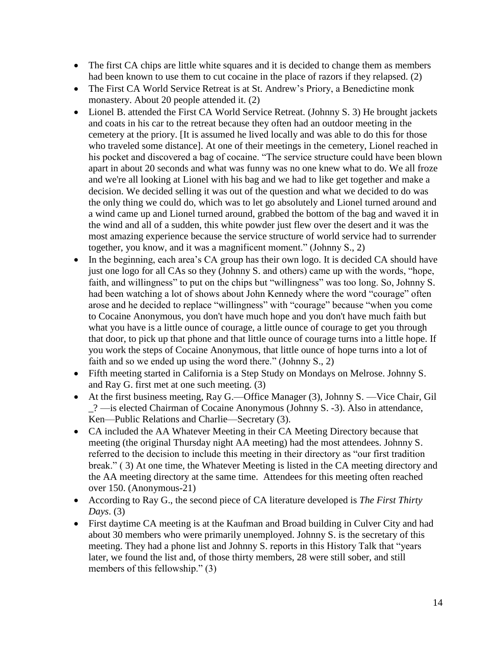- The first CA chips are little white squares and it is decided to change them as members had been known to use them to cut cocaine in the place of razors if they relapsed. (2)
- The First CA World Service Retreat is at St. Andrew's Priory, a Benedictine monk monastery. About 20 people attended it. (2)
- Lionel B. attended the First CA World Service Retreat. (Johnny S. 3) He brought jackets and coats in his car to the retreat because they often had an outdoor meeting in the cemetery at the priory. [It is assumed he lived locally and was able to do this for those who traveled some distance]. At one of their meetings in the cemetery, Lionel reached in his pocket and discovered a bag of cocaine. "The service structure could have been blown apart in about 20 seconds and what was funny was no one knew what to do. We all froze and we're all looking at Lionel with his bag and we had to like get together and make a decision. We decided selling it was out of the question and what we decided to do was the only thing we could do, which was to let go absolutely and Lionel turned around and a wind came up and Lionel turned around, grabbed the bottom of the bag and waved it in the wind and all of a sudden, this white powder just flew over the desert and it was the most amazing experience because the service structure of world service had to surrender together, you know, and it was a magnificent moment." (Johnny S., 2)
- In the beginning, each area's CA group has their own logo. It is decided CA should have just one logo for all CAs so they (Johnny S. and others) came up with the words, "hope, faith, and willingness" to put on the chips but "willingness" was too long. So, Johnny S. had been watching a lot of shows about John Kennedy where the word "courage" often arose and he decided to replace "willingness" with "courage" because "when you come to Cocaine Anonymous, you don't have much hope and you don't have much faith but what you have is a little ounce of courage, a little ounce of courage to get you through that door, to pick up that phone and that little ounce of courage turns into a little hope. If you work the steps of Cocaine Anonymous, that little ounce of hope turns into a lot of faith and so we ended up using the word there." (Johnny S., 2)
- Fifth meeting started in California is a Step Study on Mondays on Melrose. Johnny S. and Ray G. first met at one such meeting. (3)
- At the first business meeting, Ray G.—Office Manager (3), Johnny S. —Vice Chair, Gil \_? —is elected Chairman of Cocaine Anonymous (Johnny S. -3). Also in attendance, Ken—Public Relations and Charlie—Secretary (3).
- CA included the AA Whatever Meeting in their CA Meeting Directory because that meeting (the original Thursday night AA meeting) had the most attendees. Johnny S. referred to the decision to include this meeting in their directory as "our first tradition break." ( 3) At one time, the Whatever Meeting is listed in the CA meeting directory and the AA meeting directory at the same time. Attendees for this meeting often reached over 150. (Anonymous-21)
- According to Ray G., the second piece of CA literature developed is *The First Thirty Days*. (3)
- First daytime CA meeting is at the Kaufman and Broad building in Culver City and had about 30 members who were primarily unemployed. Johnny S. is the secretary of this meeting. They had a phone list and Johnny S. reports in this History Talk that "years later, we found the list and, of those thirty members, 28 were still sober, and still members of this fellowship." (3)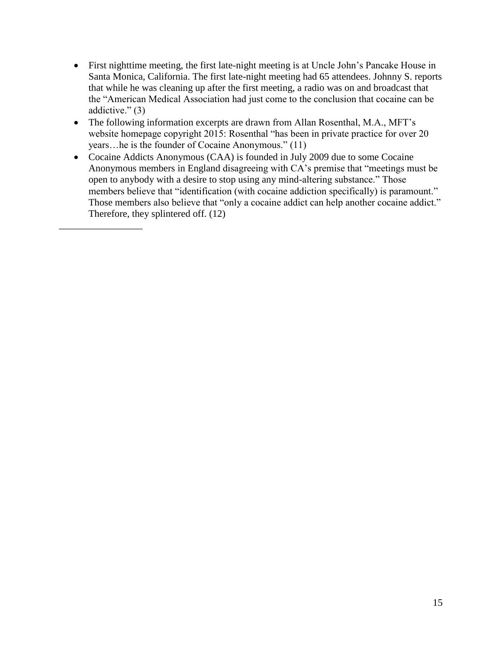- First nighttime meeting, the first late-night meeting is at Uncle John's Pancake House in Santa Monica, California. The first late-night meeting had 65 attendees. Johnny S. reports that while he was cleaning up after the first meeting, a radio was on and broadcast that the "American Medical Association had just come to the conclusion that cocaine can be addictive." (3)
- The following information excerpts are drawn from Allan Rosenthal, M.A., MFT's website homepage copyright 2015: Rosenthal "has been in private practice for over 20 years…he is the founder of Cocaine Anonymous." (11)
- Cocaine Addicts Anonymous (CAA) is founded in July 2009 due to some Cocaine Anonymous members in England disagreeing with CA's premise that "meetings must be open to anybody with a desire to stop using any mind-altering substance." Those members believe that "identification (with cocaine addiction specifically) is paramount." Those members also believe that "only a cocaine addict can help another cocaine addict." Therefore, they splintered off. (12)

\_\_\_\_\_\_\_\_\_\_\_\_\_\_\_\_\_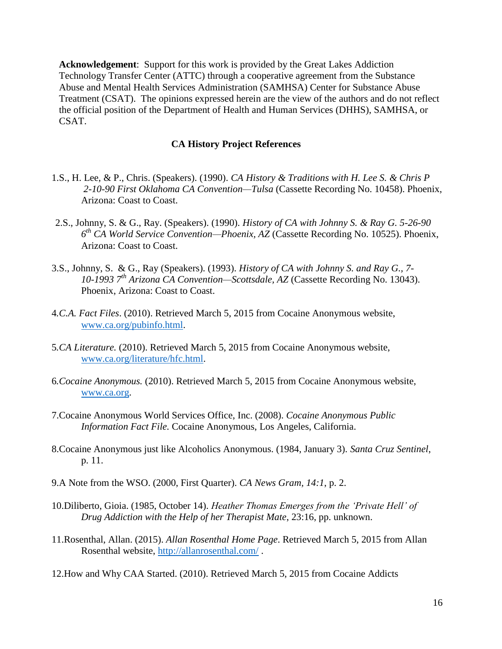**Acknowledgement**: Support for this work is provided by the Great Lakes Addiction Technology Transfer Center (ATTC) through a cooperative agreement from the Substance Abuse and Mental Health Services Administration (SAMHSA) Center for Substance Abuse Treatment (CSAT). The opinions expressed herein are the view of the authors and do not reflect the official position of the Department of Health and Human Services (DHHS), SAMHSA, or CSAT.

#### **CA History Project References**

- 1.S., H. Lee, & P., Chris. (Speakers). (1990). *CA History & Traditions with H. Lee S. & Chris P 2-10-90 First Oklahoma CA Convention—Tulsa* (Cassette Recording No. 10458). Phoenix, Arizona: Coast to Coast.
- 2.S., Johnny, S. & G., Ray. (Speakers). (1990). *History of CA with Johnny S. & Ray G. 5-26-90 6 th CA World Service Convention—Phoenix, AZ* (Cassette Recording No. 10525). Phoenix, Arizona: Coast to Coast.
- 3.S., Johnny, S. & G., Ray (Speakers). (1993). *History of CA with Johnny S. and Ray G., 7- 10-1993 7th Arizona CA Convention—Scottsdale, AZ* (Cassette Recording No. 13043). Phoenix, Arizona: Coast to Coast.
- 4*.C.A. Fact Files*. (2010). Retrieved March 5, 2015 from Cocaine Anonymous website, [www.ca.org/pubinfo.html.](http://www.ca.org/pubinfo.html)
- 5*.CA Literature.* (2010). Retrieved March 5, 2015 from Cocaine Anonymous website, [www.ca.org/literature/hfc.html.](http://www.ca.org/literature/hfc.html)
- 6*.Cocaine Anonymous.* (2010). Retrieved March 5, 2015 from Cocaine Anonymous website, [www.ca.org.](http://www.ca.org/)
- 7.Cocaine Anonymous World Services Office, Inc. (2008). *Cocaine Anonymous Public Information Fact File.* Cocaine Anonymous, Los Angeles, California.
- 8.Cocaine Anonymous just like Alcoholics Anonymous. (1984, January 3). *Santa Cruz Sentinel*, p. 11.
- 9.A Note from the WSO. (2000, First Quarter). *CA News Gram, 14:1*, p. 2.
- 10.Diliberto, Gioia. (1985, October 14). *Heather Thomas Emerges from the 'Private Hell' of Drug Addiction with the Help of her Therapist Mate*, 23:16, pp. unknown.
- 11.Rosenthal, Allan. (2015). *Allan Rosenthal Home Page*. Retrieved March 5, 2015 from Allan Rosenthal website,<http://allanrosenthal.com/> .
- 12.How and Why CAA Started. (2010). Retrieved March 5, 2015 from Cocaine Addicts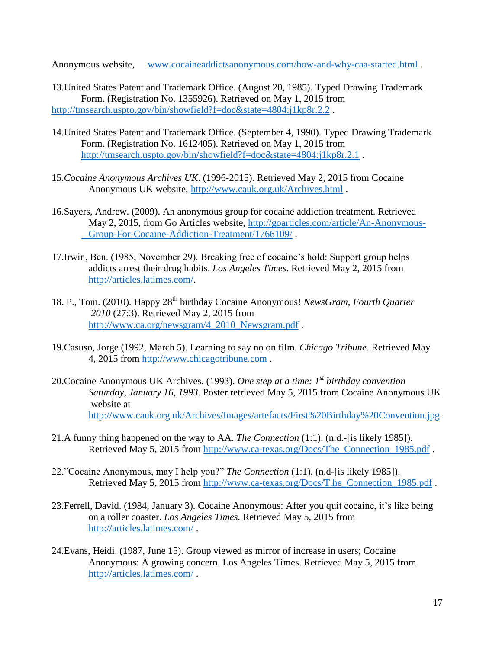Anonymous website, [www.cocaineaddictsanonymous.com/how-and-why-caa-started.html](http://www.cocaineaddictsanonymous.com/how-and-why-caa-started.html) .

13.United States Patent and Trademark Office. (August 20, 1985). Typed Drawing Trademark Form. (Registration No. 1355926). Retrieved on May 1, 2015 from <http://tmsearch.uspto.gov/bin/showfield?f=doc&state=4804:j1kp8r.2.2>.

- 14.United States Patent and Trademark Office. (September 4, 1990). Typed Drawing Trademark Form. (Registration No. 1612405). Retrieved on May 1, 2015 from <http://tmsearch.uspto.gov/bin/showfield?f=doc&state=4804:j1kp8r.2.1>.
- 15.*Cocaine Anonymous Archives UK*. (1996-2015). Retrieved May 2, 2015 from Cocaine Anonymous UK website,<http://www.cauk.org.uk/Archives.html> .
- 16.Sayers, Andrew. (2009). An anonymous group for cocaine addiction treatment. Retrieved May 2, 2015, from Go Articles website, [http://goarticles.com/article/An-Anonymous-](http://goarticles.com/article/An-Anonymous-%09Group-For-Cocaine-Addiction-Treatment/1766109/)[Group-For-Cocaine-Addiction-Treatment/1766109/](http://goarticles.com/article/An-Anonymous-%09Group-For-Cocaine-Addiction-Treatment/1766109/) .
- 17.Irwin, Ben. (1985, November 29). Breaking free of cocaine's hold: Support group helps addicts arrest their drug habits. *Los Angeles Times*. Retrieved May 2, 2015 from [http://articles.latimes.com/.](http://articles.latimes.com/)
- 18. P., Tom. (2010). Happy 28<sup>th</sup> birthday Cocaine Anonymous! *NewsGram, Fourth Ouarter 2010* (27:3). Retrieved May 2, 2015 from [http://www.ca.org/newsgram/4\\_2010\\_Newsgram.pdf](http://www.ca.org/newsgram/4_2010_Newsgram.pdf) .
- 19.Casuso, Jorge (1992, March 5). Learning to say no on film. *Chicago Tribune*. Retrieved May 4, 2015 from [http://www.chicagotribune.com](http://www.chicagotribune.com/) .
- 20.Cocaine Anonymous UK Archives. (1993). *One step at a time: 1st birthday convention Saturday, January 16, 1993*. Poster retrieved May 5, 2015 from Cocaine Anonymous UK website at [http://www.cauk.org.uk/Archives/Images/artefacts/First%20Birthday%20Convention.jpg.](http://www.cauk.org.uk/Archives/Images/artefacts/First%20Birthday%20Convention.jpg)
- 21.A funny thing happened on the way to AA. *The Connection* (1:1). (n.d.-[is likely 1985]). Retrieved May 5, 2015 from [http://www.ca-texas.org/Docs/The\\_Connection\\_1985.pdf](http://www.ca-texas.org/Docs/The_Connection_1985.pdf) .
- 22."Cocaine Anonymous, may I help you?" *The Connection* (1:1). (n.d-[is likely 1985]). Retrieved May 5, 2015 from [http://www.ca-texas.org/Docs/T.he\\_Connection\\_1985.pdf](http://www.ca-texas.org/Docs/T.he_Connection_1985.pdf).
- 23.Ferrell, David. (1984, January 3). Cocaine Anonymous: After you quit cocaine, it's like being on a roller coaster. *Los Angeles Times.* Retrieved May 5, 2015 from <http://articles.latimes.com/> .
- 24.Evans, Heidi. (1987, June 15). Group viewed as mirror of increase in users; Cocaine Anonymous: A growing concern. Los Angeles Times. Retrieved May 5, 2015 from <http://articles.latimes.com/> .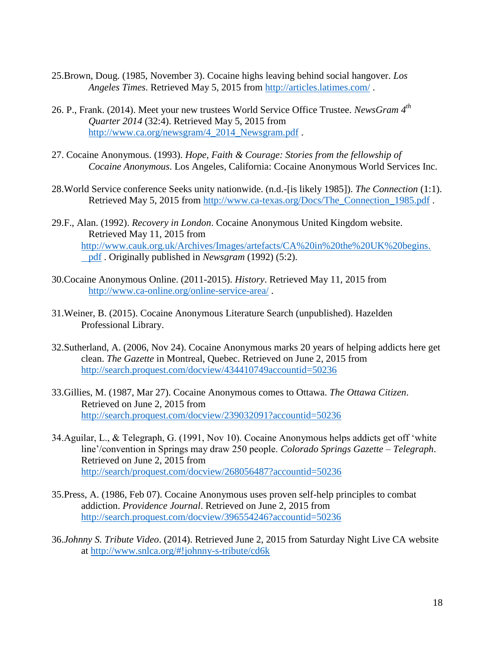- 25.Brown, Doug. (1985, November 3). Cocaine highs leaving behind social hangover. *Los Angeles Times*. Retrieved May 5, 2015 from<http://articles.latimes.com/> .
- 26. P., Frank. (2014). Meet your new trustees World Service Office Trustee. *NewsGram 4th Quarter 2014* (32:4). Retrieved May 5, 2015 from [http://www.ca.org/newsgram/4\\_2014\\_Newsgram.pdf](http://www.ca.org/newsgram/4_2014_Newsgram.pdf).
- 27. Cocaine Anonymous. (1993). *Hope, Faith & Courage: Stories from the fellowship of Cocaine Anonymous*. Los Angeles, California: Cocaine Anonymous World Services Inc.
- 28.World Service conference Seeks unity nationwide. (n.d.-[is likely 1985]). *The Connection* (1:1). Retrieved May 5, 2015 from [http://www.ca-texas.org/Docs/The\\_Connection\\_1985.pdf](http://www.ca-texas.org/Docs/The_Connection_1985.pdf).
- 29.F., Alan. (1992). *Recovery in London*. Cocaine Anonymous United Kingdom website. Retrieved May 11, 2015 from [http://www.cauk.org.uk/Archives/Images/artefacts/CA%20in%20the%20UK%20begins.](http://www.cauk.org.uk/Archives/Images/artefacts/CA%20in%20the%20UK%20begins.%09pdf) [pdf](http://www.cauk.org.uk/Archives/Images/artefacts/CA%20in%20the%20UK%20begins.%09pdf) . Originally published in *Newsgram* (1992) (5:2).
- 30.Cocaine Anonymous Online. (2011-2015). *History*. Retrieved May 11, 2015 from <http://www.ca-online.org/online-service-area/> .
- 31.Weiner, B. (2015). Cocaine Anonymous Literature Search (unpublished). Hazelden Professional Library.
- 32.Sutherland, A. (2006, Nov 24). Cocaine Anonymous marks 20 years of helping addicts here get clean. *The Gazette* in Montreal, Quebec. Retrieved on June 2, 2015 from <http://search.proquest.com/docview/434410749accountid=50236>
- 33.Gillies, M. (1987, Mar 27). Cocaine Anonymous comes to Ottawa. *The Ottawa Citizen*. Retrieved on June 2, 2015 from <http://search.proquest.com/docview/239032091?accountid=50236>
- 34.Aguilar, L., & Telegraph, G. (1991, Nov 10). Cocaine Anonymous helps addicts get off 'white line'/convention in Springs may draw 250 people. *Colorado Springs Gazette – Telegraph*. Retrieved on June 2, 2015 from <http://search/proquest.com/docview/268056487?accountid=50236>
- 35.Press, A. (1986, Feb 07). Cocaine Anonymous uses proven self-help principles to combat addiction. *Providence Journal*. Retrieved on June 2, 2015 from <http://search.proquest.com/docview/396554246?accountid=50236>
- 36.*Johnny S. Tribute Video*. (2014). Retrieved June 2, 2015 from Saturday Night Live CA website at<http://www.snlca.org/#!johnny-s-tribute/cd6k>